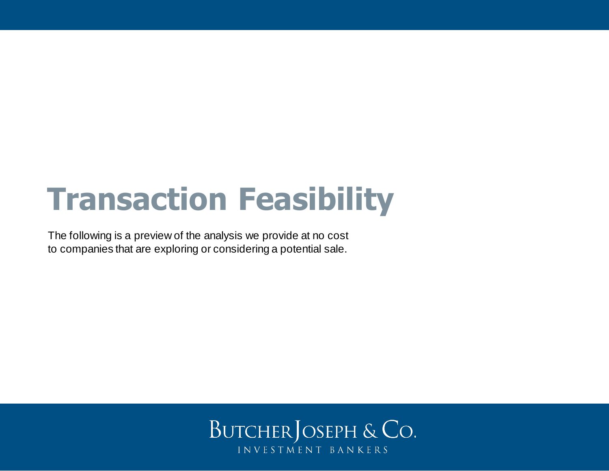# **Transaction Feasibility**

The following is a preview of the analysis we provide at no cost to companies that are exploring or considering a potential sale.

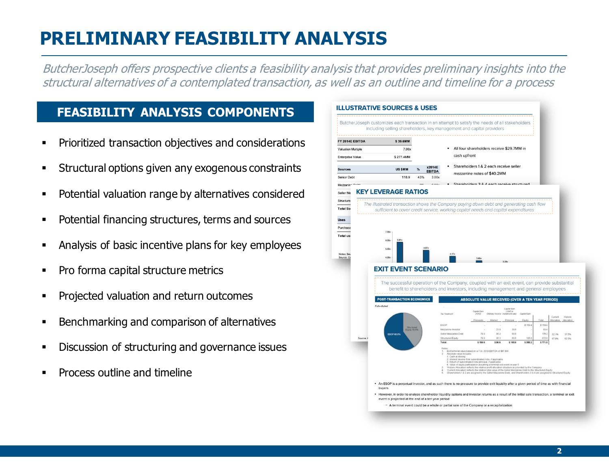# **PRELIMINARY FEASIBILITY ANALYSIS**

ButcherJoseph offers prospective clients a feasibility analysis that provides preliminary insights into the structural alternatives of a contemplated transaction, as well as an outline and timeline for a process

#### **FEASIBILITY ANALYSIS COMPONENTS**

- Prioritized transaction objectives and considerations
- **EXECUTE:** Structural options given any exogenous constraints
- Potential valuation range by alternatives considered
- Potential financing structures, terms and sources
- Analysis of basic incentive plans for key employees
- Pro forma capital structure metrics
- Projected valuation and return outcomes
- Benchmarking and comparison of alternatives
- Discussion of structuring and governance issues
- Process outline and timeline

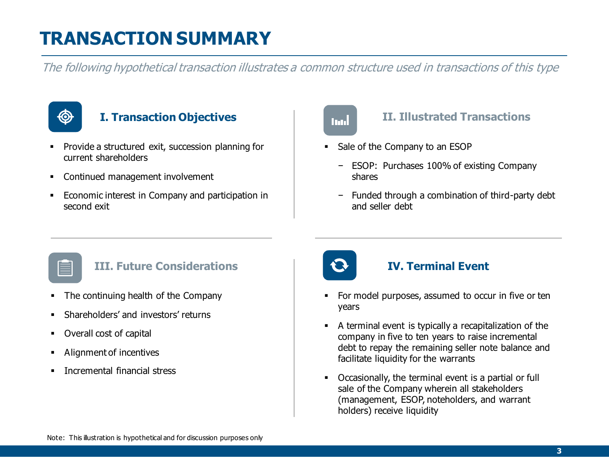# **TRANSACTION SUMMARY**

The following hypothetical transaction illustrates a common structure used in transactions of this type



#### **I. Transaction Objectives**

- Provide a structured exit, succession planning for current shareholders
- **Continued management involvement**
- Economic interest in Company and participation in second exit

# Ind

#### **II. Illustrated Transactions**

- Sale of the Company to an ESOP
	- − ESOP: Purchases 100% of existing Company shares
	- − Funded through a combination of third-party debt and seller debt

#### **III. Future Considerations**

- **•** The continuing health of the Company
- **E.** Shareholders' and investors' returns
- Overall cost of capital
- Alignment of incentives
- **·** Incremental financial stress



#### **IV. Terminal Event**

- For model purposes, assumed to occur in five or ten years
- A terminal event is typically a recapitalization of the company in five to ten years to raise incremental debt to repay the remaining seller note balance and facilitate liquidity for the warrants
- Occasionally, the terminal event is a partial or full sale of the Company wherein all stakeholders (management, ESOP, noteholders, and warrant holders) receive liquidity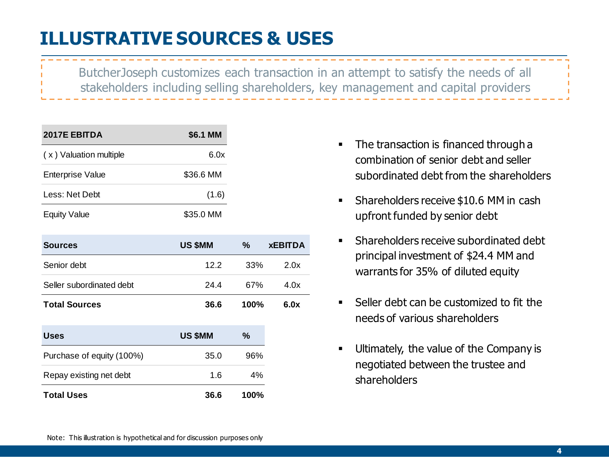# **ILLUSTRATIVE SOURCES & USES**

ButcherJoseph customizes each transaction in an attempt to satisfy the needs of all stakeholders including selling shareholders, key management and capital providers

| 2017E EBITDA            | \$6.1 MM  |
|-------------------------|-----------|
| (x) Valuation multiple  | 6.0x      |
| <b>Enterprise Value</b> | \$36.6 MM |
| Less: Net Debt          | (1.6)     |
| <b>Equity Value</b>     | \$35.0 MM |

| <b>Sources</b>           | <b>US \$MM</b> | %               | <b>XEBITDA</b> |
|--------------------------|----------------|-----------------|----------------|
| Senior debt              | 12.2           | 33 <sup>%</sup> | 2.0x           |
| Seller subordinated debt | 24.4           | 67%             | 4.0x           |
| <b>Total Sources</b>     | 36.6           | $100\%$         | 6.0x           |

| <b>Uses</b>               | <b>US \$MM</b> | $\%$    |
|---------------------------|----------------|---------|
| Purchase of equity (100%) | 35.0           | 96%     |
| Repay existing net debt   | 1.6            | 4%      |
| <b>Total Uses</b>         | 36.6           | $100\%$ |

- The transaction is financed through a combination of senior debt and seller subordinated debt from the shareholders
- Shareholders receive \$10.6 MM in cash upfront funded by senior debt
- Shareholders receive subordinated debt principal investment of \$24.4 MM and warrants for 35% of diluted equity
- Seller debt can be customized to fit the needs of various shareholders
- Ultimately, the value of the Company is negotiated between the trustee and shareholders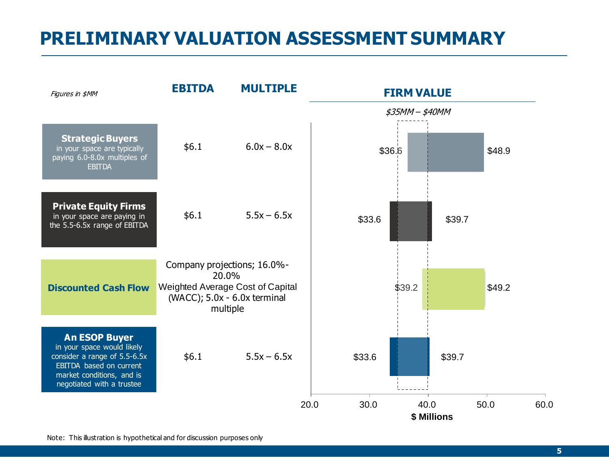### **PRELIMINARY VALUATION ASSESSMENT SUMMARY**



Note: This illustration is hypothetical and for discussion purposes only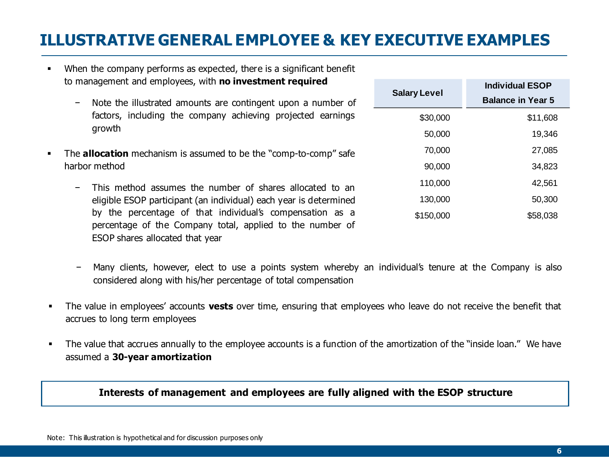### **ILLUSTRATIVE GENERAL EMPLOYEE & KEY EXECUTIVE EXAMPLES**

- When the company performs as expected, there is a significant benefit to management and employees, with **no investment required**
	- − Note the illustrated amounts are contingent upon a number of factors, including the company achieving projected earnings growth
- The **allocation** mechanism is assumed to be the "comp-to-comp" safe harbor method
	- − This method assumes the number of shares allocated to an eligible ESOP participant (an individual) each year is determined by the percentage of that individual's compensation as a percentage of the Company total, applied to the number of ESOP shares allocated that year
	- − Many clients, however, elect to use a points system whereby an individual's tenure at the Company is also considered along with his/her percentage of total compensation
- The value in employees' accounts **vests** over time, ensuring that employees who leave do not receive the benefit that accrues to long term employees
- The value that accrues annually to the employee accounts is a function of the amortization of the "inside loan." We have assumed a **30-year amortization**

#### **Interests of management and employees are fully aligned with the ESOP structure**

| <b>Salary Level</b> | <b>Individual ESOP</b>   |
|---------------------|--------------------------|
|                     | <b>Balance in Year 5</b> |
| \$30,000            | \$11,608                 |
| 50,000              | 19,346                   |
| 70,000              | 27,085                   |
| 90,000              | 34,823                   |
| 110,000             | 42,561                   |
| 130,000             | 50,300                   |
| \$150,000           | \$58,038                 |